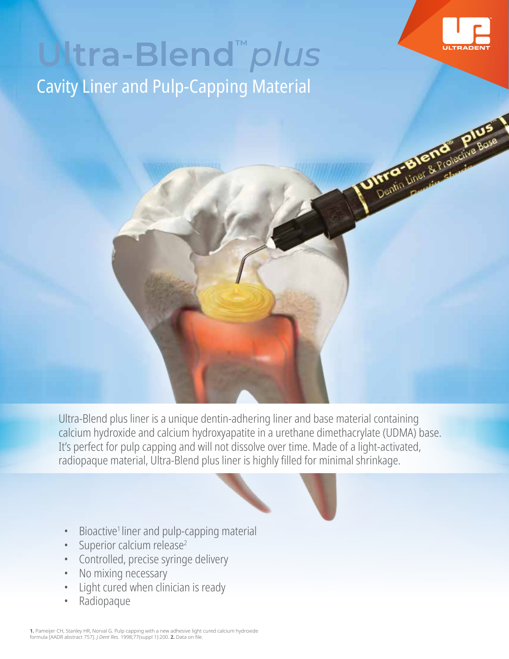

Differential Strategy

## Cavity Liner and Pulp-Capping Material **Ultra-Blend™** *plus*

Ultra-Blend plus liner is a unique dentin-adhering liner and base material containing calcium hydroxide and calcium hydroxyapatite in a urethane dimethacrylate (UDMA) base. It's perfect for pulp capping and will not dissolve over time. Made of a light-activated, radiopaque material, Ultra-Blend plus liner is highly filled for minimal shrinkage.

- 
- Bioactive<sup>1</sup> liner and pulp-capping material
- Superior calcium release<sup>2</sup>
- Controlled, precise syringe delivery
- No mixing necessary
- Light cured when clinician is ready
- Radiopaque